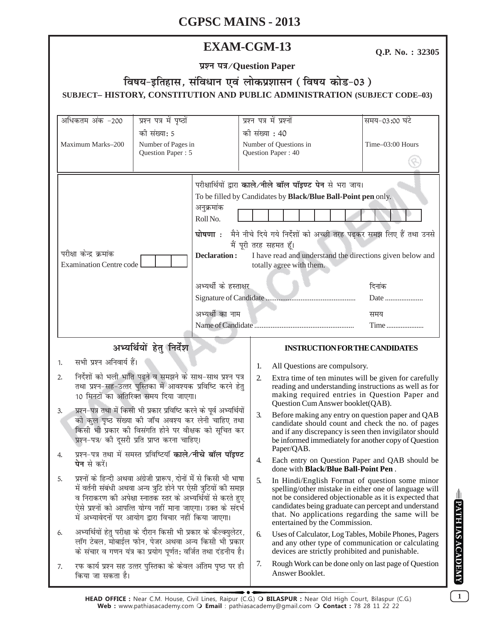# **EXAM-CGM-13**

Q.P. No.: 32305

प्रश्न पत्र/Question Paper

# विषय-इतिहास, संविधान एवं लोकप्रशासन (विषय कोड-03) SUBJECT-HISTORY, CONSTITUTION AND PUBLIC ADMINISTRATION (SUBJECT CODE-03)

| अधिकतम अंक -200                                                                                                                                                                                                                                                                                                                                                                                                                                                                                                   | प्रश्न पत्र में पृष्ठों                                                         |                                                                                                             | प्रश्न पत्र में प्रश्नों                                       |                                                                                                                                                                                                                                                                                                                 | समय-03:00 घंटे                                                                                        |  |
|-------------------------------------------------------------------------------------------------------------------------------------------------------------------------------------------------------------------------------------------------------------------------------------------------------------------------------------------------------------------------------------------------------------------------------------------------------------------------------------------------------------------|---------------------------------------------------------------------------------|-------------------------------------------------------------------------------------------------------------|----------------------------------------------------------------|-----------------------------------------------------------------------------------------------------------------------------------------------------------------------------------------------------------------------------------------------------------------------------------------------------------------|-------------------------------------------------------------------------------------------------------|--|
| Maximum Marks-200                                                                                                                                                                                                                                                                                                                                                                                                                                                                                                 | को संख्या: 5<br>Number of Pages in<br>Question Paper: 5                         |                                                                                                             | की संख्या : 40<br>Number of Questions in<br>Question Paper: 40 |                                                                                                                                                                                                                                                                                                                 | Time-03:00 Hours                                                                                      |  |
| परीक्षा केन्द्र क्रमांक<br><b>Examination Centre code</b>                                                                                                                                                                                                                                                                                                                                                                                                                                                         |                                                                                 | अनुक्रमांक<br>Roll No.<br>घोषणा <b>ः</b><br><b>Declaration:</b><br>अभ्यर्थी के हस्ताक्षर<br>अभ्यर्थी का नाम | मैं पूरी तरह सहमत हूँ।                                         | परीक्षार्थियों द्वारा काले/नीले बॉल पॉइण्ट पेन से भरा जाय।<br>To be filled by Candidates by Black/Blue Ball-Point pen only.<br>I have read and understand the directions given below and<br>totally agree with them.                                                                                            | मैने नीचे दिये गये निर्देशों को अच्छी तरह पढ़कर समझ लिए हैं तथा उनसे<br>दिनांक<br>Date<br>समय<br>Time |  |
| अभ्यर्थियों हेतु निर्देश                                                                                                                                                                                                                                                                                                                                                                                                                                                                                          |                                                                                 |                                                                                                             |                                                                | <b>INSTRUCTION FOR THE CANDIDATES</b>                                                                                                                                                                                                                                                                           |                                                                                                       |  |
| सभी प्रश्न अनिवार्य हैं।<br>1.                                                                                                                                                                                                                                                                                                                                                                                                                                                                                    |                                                                                 |                                                                                                             |                                                                |                                                                                                                                                                                                                                                                                                                 |                                                                                                       |  |
| निर्देशों को भली भांति पढ़ने व समझने के साथ-साथ प्रश्न पत्र<br>2.<br>तथा प्रश्न-सह-उत्तर पुस्तिका में आवश्यक प्रविष्टि करने हेतु<br>10 मिनटों का अतिरिक्त समय दिया जाएगा।<br>प्रश्न–पत्र तथा में किसी भी प्रकार प्रविष्टि करने के पूर्व अभ्यर्थियों<br>3.<br>को कुल पृष्ठ संख्या की जाँच अवश्य कर लेनी चाहिए तथा<br>किसी भी प्रकार की विसंगति होने पर वीक्षक को सूचित कर<br>प्रश्न-पत्र/ की दूसरी प्रति प्राप्त करना चाहिए।<br>प्रश्न-पत्र तथा में समस्त प्रविष्टियाँ काले/नीचे बॉल पॉइण्ट<br><b>पेन</b> से करें। |                                                                                 |                                                                                                             | 1.<br>$\overline{2}$                                           | All Questions are compulsory.<br>Extra time of ten minutes will be given for carefully<br>reading and understanding instructions as well as for<br>making required entries in Question Paper and<br>Question Cum Answer booklet(QAB).                                                                           |                                                                                                       |  |
|                                                                                                                                                                                                                                                                                                                                                                                                                                                                                                                   |                                                                                 |                                                                                                             | 3.                                                             | Before making any entry on question paper and QAB<br>candidate should count and check the no. of pages<br>and if any discrepancy is seen then invigilator should<br>be informed immediately for another copy of Question<br>Paper/QAB.                                                                          |                                                                                                       |  |
|                                                                                                                                                                                                                                                                                                                                                                                                                                                                                                                   |                                                                                 |                                                                                                             | 4.                                                             | done with <b>Black/Blue Ball-Point Pen</b> .                                                                                                                                                                                                                                                                    | Each entry on Question Paper and QAB should be                                                        |  |
| प्रश्नों के हिन्दी अथवा अंग्रेजी प्रारूप, दोनों में से किसी भी भाषा<br>5.<br>में वर्तनी संबंधी अथवा अन्य त्रुटि होने पर ऐसी त्रुटियों की समझ<br>व निराकरण की अपेक्षा स्नातक स्तर के अभ्यर्थियों से करते हुए<br>ऐसे प्रश्नों को आपत्ति योग्य नहीं माना जाएगा। उक्त के संदर्भ<br>में अभ्यावेदनों पर आयोग द्वारा विचार नहीं किया जाएगा।                                                                                                                                                                              |                                                                                 |                                                                                                             | 5.                                                             | In Hindi/English Format of question some minor<br>spelling/other mistake in either one of language will<br>not be considered objectionable as it is expected that<br>candidates being graduate can percept and understand<br>that. No applications regarding the same will be<br>entertained by the Commission. |                                                                                                       |  |
| अभ्यर्थियों हेतु परीक्षा के दौरान किसी भी प्रकार के कैल्क्युलेटर,<br>6.<br>लॉग टेबल, मोबाईल फोन, पेजर अथवा अन्य किसी भी प्रकार<br>के संचार व गणन यंत्र का प्रयोग पूर्णत: वर्जित तथा दंडनीय है।                                                                                                                                                                                                                                                                                                                    |                                                                                 |                                                                                                             | 6.                                                             | Uses of Calculator, Log Tables, Mobile Phones, Pagers<br>and any other type of communication or calculating<br>devices are strictly prohibited and punishable.                                                                                                                                                  |                                                                                                       |  |
| 7.                                                                                                                                                                                                                                                                                                                                                                                                                                                                                                                | रफ कार्य प्रश्न सह उत्तर पुस्तिका के केवल अंतिम पृष्ठ पर ही<br>किया जा सकता है। |                                                                                                             |                                                                | Answer Booklet.                                                                                                                                                                                                                                                                                                 | Rough Work can be done only on last page of Question                                                  |  |

 $\overline{1}$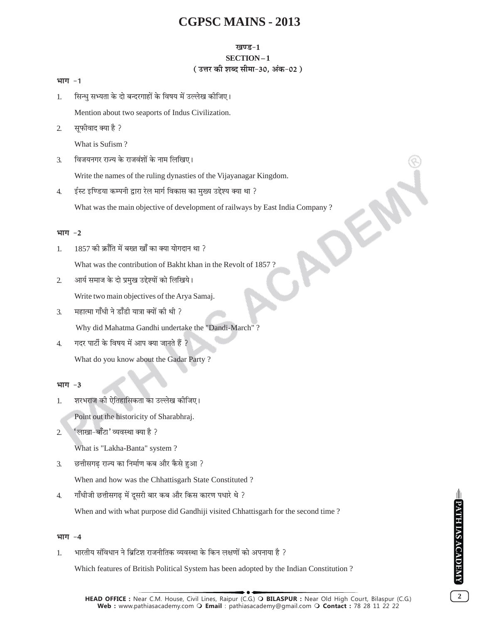#### **खण्ड-1**

#### SECTION-1

### (उत्तर की शब्द सीमा-30, अंक-02)

#### भाग $-1$

सिन्धु सभ्यता के दो बन्दरगाहों के विषय में उल्लेख कीजिए। 1.

Mention about two seaports of Indus Civilization.

सूफीवाद क्या है ?  $\overline{2}$ .

What is Sufism?

विजयनगर राज्य के राजवंशों के नाम लिखिए।  $\overline{3}$ .

Write the names of the ruling dynasties of the Vijayanagar Kingdom.

ईस्ट इण्डिया कम्पनी द्वारा रेल मार्ग विकास का मख्य उद्देश्य क्या था ?  $\overline{4}$ .

What was the main objective of development of railways by East India Company?

### भाग $-2$

1857 की क्राँति में बख्त खाँ का क्या योगदान था ?  $\mathbf{1}$ .

What was the contribution of Bakht khan in the Revolt of 1857?

 $2.$ आर्य समाज के दो प्रमुख उद्देश्यों को लिखिये।

Write two main objectives of the Arya Samaj.

महात्मा गाँधी ने डाँडी यात्रा क्यों की थी ?  $\overline{3}$ .

Why did Mahatma Gandhi undertake the "Dandi-March"?

गदर पार्टी के विषय में आप क्या जानते हैं ?  $\overline{4}$ .

What do you know about the Gadar Party?

### भाग -3

शरभराज की ऐतिहासिकता का उल्लेख कीजिए। 1.

Point out the historicity of Sharabhraj.

'लाखा-बाँटा' व्यवस्था क्या है ?  $\overline{2}$ 

What is "Lakha-Banta" system?

छत्तीसगढ़ राज्य का निर्माण कब और कैसे हुआ ?  $\overline{3}$ .

When and how was the Chhattisgarh State Constituted?

गाँधीजी छत्तीसगढ में दूसरी बार कब और किस कारण पधारे थे ?  $\overline{4}$ 

When and with what purpose did Gandhiji visited Chhattisgarh for the second time?

### भाग -4

भारतीय संविधान ने ब्रिटिश राजनीतिक व्यवस्था के किन लक्षणों को अपनाया है ? 1.

Which features of British Political System has been adopted by the Indian Constitution?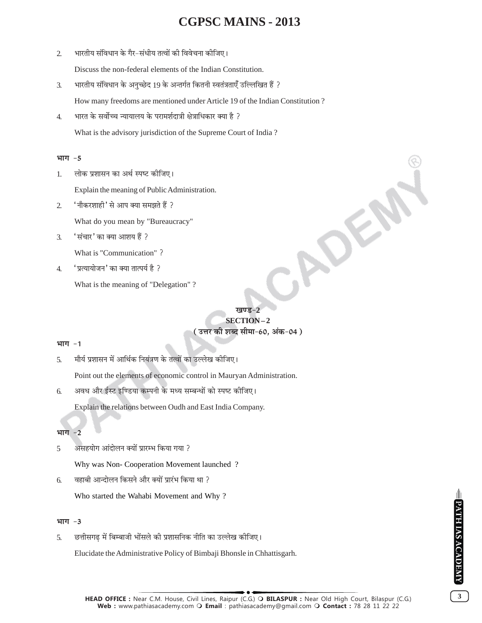भारतीय संविधान के गैर-संधीय तत्वों की विवेचना कीजिए।  $\overline{2}$ 

Discuss the non-federal elements of the Indian Constitution.

- भारतीय संविधान के अनुच्छेद 19 के अन्तर्गत कितनी स्वतंत्रताएँ उल्लिखित हैं ?  $\mathfrak{Z}$ . How many freedoms are mentioned under Article 19 of the Indian Constitution?
- भारत के सर्वोच्च न्यायालय के परामर्शदात्री क्षेत्राधिकार क्या है ?  $\overline{4}$ . What is the advisory jurisdiction of the Supreme Court of India?

#### भाग -5

लोक प्रशासन का अर्थ स्पष्ट कीजिए।  $1.$ 

Explain the meaning of Public Administration.

'नौकरशाही' से आप क्या समझते हैं ?  $\mathcal{L}$ 

What do you mean by "Bureaucracy"

'संचार' का क्या आशय हैं ? 3.

What is "Communication"?

'प्रत्यायोजन' का क्या तात्पर्य है ?  $\overline{4}$ .

What is the meaning of "Delegation"?

#### खण्ड-2

ADE

### SECTION-2 ( उत्तर की शब्द सीमा-60, अंक-04 )

#### भाग -1

मौर्य प्रशासन में आर्थिक नियंत्रण के तत्वों का उल्लेख कीजिए। 5.

Point out the elements of economic control in Mauryan Administration.

अवध और ईस्ट इण्डिया कम्पनी के मध्य सम्बन्धों को स्पष्ट कीजिए। 6.

Explain the relations between Oudh and East India Company.

#### भाग -2

असहयोग आंदोलन क्यों प्रारम्भ किया गया ? 5

Why was Non-Cooperation Movement launched?

वहाबी आन्दोलन किसने और क्यों प्रारंभ किया था ? 6.

Who started the Wahabi Movement and Why?

#### भाग $-3$

छत्तीसगढ में बिम्बाजी भोंसले की प्रशासनिक नीति का उल्लेख कीजिए। 5.

Elucidate the Administrative Policy of Bimbaji Bhonsle in Chhattisgarh.

 $3<sup>1</sup>$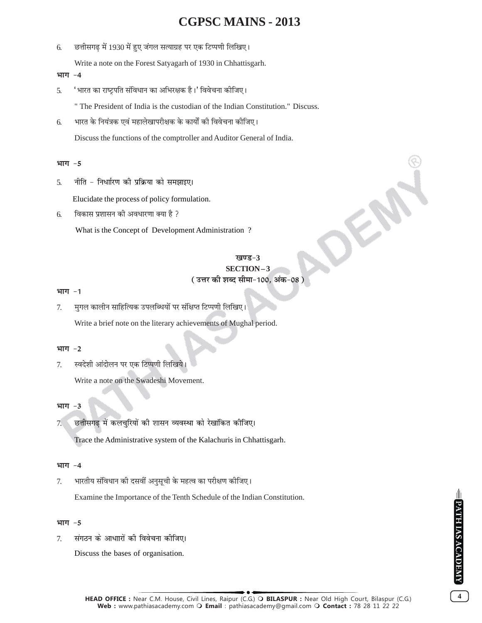छत्तीसगढ में 1930 में हुए जंगल सत्याग्रह पर एक टिप्पणी लिखिए। 6.

Write a note on the Forest Satyagarh of 1930 in Chhattisgarh.

#### भाग -4

'भारत का राष्ट्रपति संविधान का अभिरक्षक है।' विवेचना कीजिए। 5.

" The President of India is the custodian of the Indian Constitution." Discuss.

भारत के नियंत्रक एवं महालेखापरीक्षक के कार्यों की विवेचना कीजिए। 6.

Discuss the functions of the comptroller and Auditor General of India.

#### भाग -5

नीति - निर्धारण की प्रक्रिया को समझाइए।  $\overline{5}$ .

Elucidate the process of policy formulation.

विकास प्रशासन की अवधारणा क्या है ? 6.

What is the Concept of Development Administration?

### खण्ड-3 SECTION-3 ( उत्तर की शब्द सीमा-100, अंक-08 )

#### भाग -1

मुगल कालीन साहित्यिक उपलब्धियों पर संक्षिप्त टिप्पणी लिखिए। 7.

Write a brief note on the literary achievements of Mughal period.

#### भाग $-2$

स्वदेशी आंदोलन पर एक टिप्पणी लिखिये। 7.

Write a note on the Swadeshi Movement.

#### भाग  $-3$

छत्तीसगढ में कलचुरियों की शासन व्यवस्था को रेखांकित कीजिए।  $7<sub>1</sub>$ 

Trace the Administrative system of the Kalachuris in Chhattisgarh.

#### भाग -4

7. भारतीय संविधान की दसवीं अनुसूची के महत्व का परीक्षण कोजिए।

Examine the Importance of the Tenth Schedule of the Indian Constitution.

#### भाग -5

संगठन के आधाारों की विवेचना कीजिए।  $\tau$ 

Discuss the bases of organisation.

 $\overline{4}$